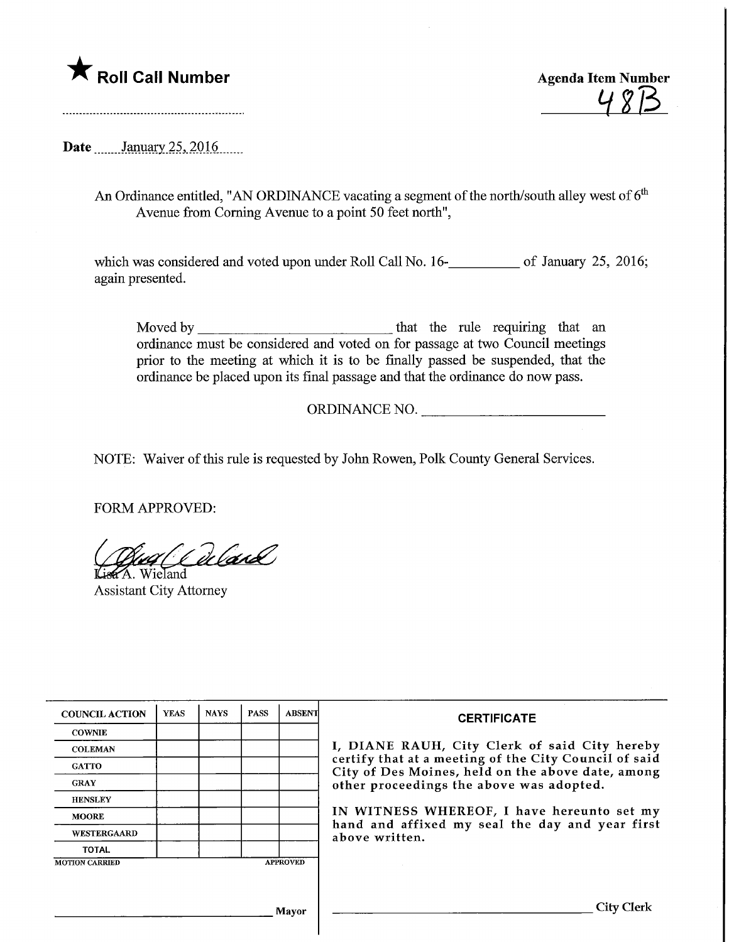

<u>483</u>

**Date** January 25, 2016

An Ordinance entitled, "AN ORDINANCE vacating a segment of the north/south alley west of  $6<sup>th</sup>$ Avenue from Coming Avenue to a point 50 feet north",

which was considered and voted upon under Roll Call No. 16-**\_\_\_\_\_\_\_\_** of January 25, 2016; again presented.

Moved by that the rule requiring that an ordinance must be considered and voted on for passage at two Council meetings prior to the meeting at which it is to be finally passed be suspended, that the ordinance be placed upon its final passage and that the ordinance do now pass.

ORDINANCE NO.

NOTE: Waiver of this rule is requested by John Rowen, Polk County General Services.

FORM APPROVED:

ug Odland Lisa A. Wieland

Assistant City Attorney

| <b>COUNCIL ACTION</b>                    | <b>YEAS</b> | <b>NAYS</b> | <b>PASS</b> | <b>ABSENT</b> | <b>CERTIFICATE</b>                                                                                                                                                                                      |  |  |
|------------------------------------------|-------------|-------------|-------------|---------------|---------------------------------------------------------------------------------------------------------------------------------------------------------------------------------------------------------|--|--|
| <b>COWNIE</b>                            |             |             |             |               | I, DIANE RAUH, City Clerk of said City hereby<br>certify that at a meeting of the City Council of said<br>City of Des Moines, held on the above date, among<br>other proceedings the above was adopted. |  |  |
| <b>COLEMAN</b>                           |             |             |             |               |                                                                                                                                                                                                         |  |  |
| <b>GATTO</b>                             |             |             |             |               |                                                                                                                                                                                                         |  |  |
| <b>GRAY</b>                              |             |             |             |               |                                                                                                                                                                                                         |  |  |
| <b>HENSLEY</b>                           |             |             |             |               |                                                                                                                                                                                                         |  |  |
| <b>MOORE</b>                             |             |             |             |               | IN WITNESS WHEREOF, I have hereunto set my<br>hand and affixed my seal the day and year first<br>above written.                                                                                         |  |  |
| <b>WESTERGAARD</b>                       |             |             |             |               |                                                                                                                                                                                                         |  |  |
| <b>TOTAL</b>                             |             |             |             |               |                                                                                                                                                                                                         |  |  |
| <b>APPROVED</b><br><b>MOTION CARRIED</b> |             |             |             |               |                                                                                                                                                                                                         |  |  |
|                                          |             |             |             |               |                                                                                                                                                                                                         |  |  |
|                                          |             |             |             |               |                                                                                                                                                                                                         |  |  |
| Mayor                                    |             |             |             |               | <b>City Clerk</b>                                                                                                                                                                                       |  |  |